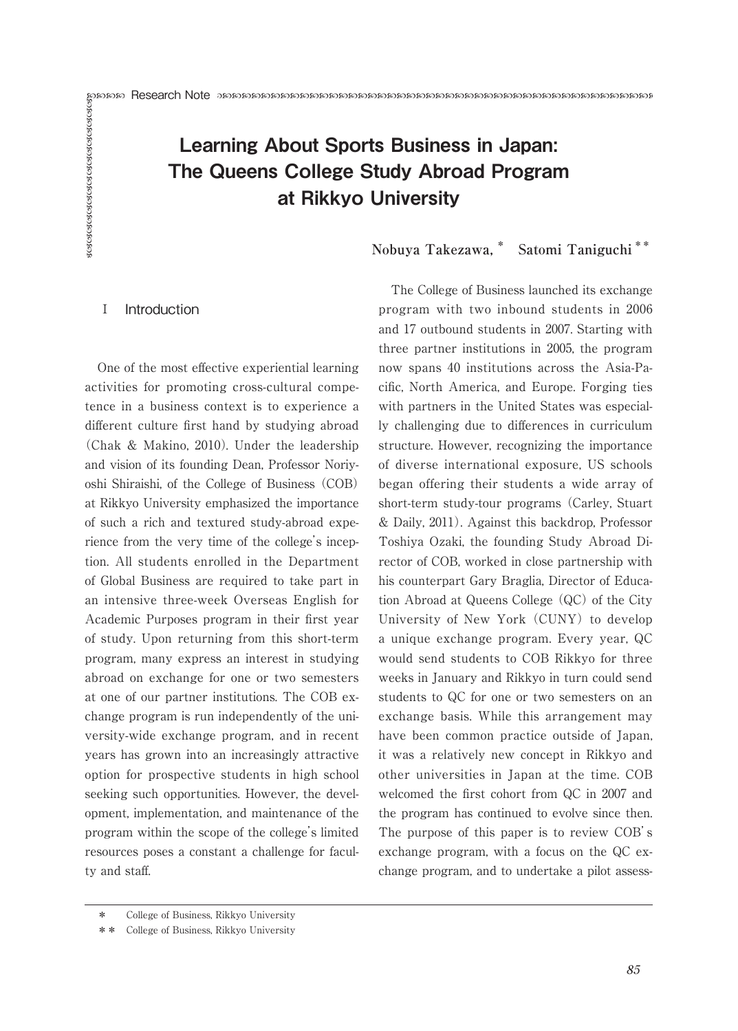# Example The Queens College Study Abroad Program<br>
The Queens College Study Abroad Program<br>
The College Study Abroad Program<br>
The College Study Abroad Program<br>
The College Study Abroad Program<br>
The College of Business launch Learning About Sports Business in Japan: The Queens College Study Abroad Program at Rikkyo University

# **Nobuya Takezawa,\* Satomi Taniguchi \*\***

# **I** Introduction

One of the most effective experiential learning activities for promoting cross-cultural competence in a business context is to experience a different culture first hand by studying abroad (Chak & Makino, 2010). Under the leadership and vision of its founding Dean, Professor Noriyoshi Shiraishi, of the College of Business (COB) at Rikkyo University emphasized the importance of such a rich and textured study-abroad experience from the very time of the college's inception. All students enrolled in the Department of Global Business are required to take part in an intensive three-week Overseas English for Academic Purposes program in their first year of study. Upon returning from this short-term program, many express an interest in studying abroad on exchange for one or two semesters at one of our partner institutions. The COB exchange program is run independently of the university-wide exchange program, and in recent years has grown into an increasingly attractive option for prospective students in high school seeking such opportunities. However, the development, implementation, and maintenance of the program within the scope of the college's limited resources poses a constant a challenge for faculty and staff.

The College of Business launched its exchange program with two inbound students in 2006 and 17 outbound students in 2007. Starting with three partner institutions in 2005, the program now spans 40 institutions across the Asia-Pacific, North America, and Europe. Forging ties with partners in the United States was especially challenging due to differences in curriculum structure. However, recognizing the importance of diverse international exposure, US schools began offering their students a wide array of short-term study-tour programs (Carley, Stuart & Daily, 2011). Against this backdrop, Professor Toshiya Ozaki, the founding Study Abroad Director of COB, worked in close partnership with his counterpart Gary Braglia, Director of Education Abroad at Queens College (QC) of the City University of New York (CUNY) to develop a unique exchange program. Every year, QC would send students to COB Rikkyo for three weeks in January and Rikkyo in turn could send students to QC for one or two semesters on an exchange basis. While this arrangement may have been common practice outside of Japan, it was a relatively new concept in Rikkyo and other universities in Japan at the time. COB welcomed the first cohort from QC in 2007 and the program has continued to evolve since then. The purpose of this paper is to review COB's exchange program, with a focus on the QC exchange program, and to undertake a pilot assess-

<sup>\*</sup> College of Business, Rikkyo University

<sup>\*\*</sup> College of Business, Rikkyo University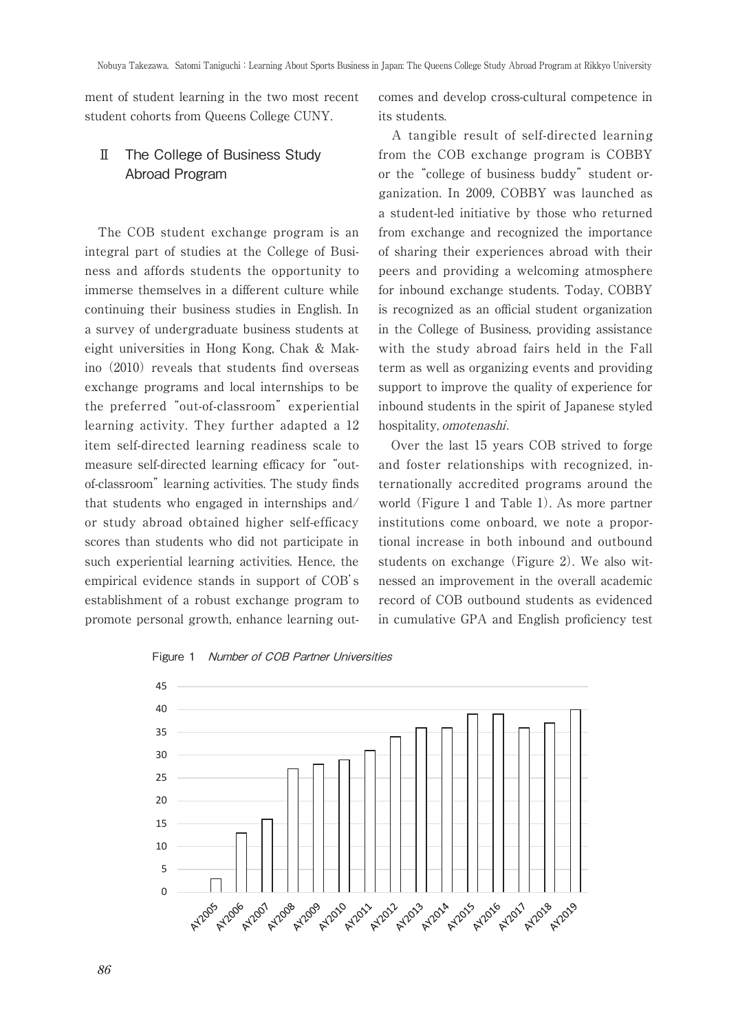ment of student learning in the two most recent student cohorts from Queens College CUNY.

# Ⅱ The College of Business Study Abroad Program

The COB student exchange program is an integral part of studies at the College of Business and affords students the opportunity to immerse themselves in a different culture while continuing their business studies in English. In a survey of undergraduate business students at eight universities in Hong Kong, Chak & Makino (2010) reveals that students find overseas exchange programs and local internships to be the preferred "out-of-classroom" experiential learning activity. They further adapted a 12 item self-directed learning readiness scale to measure self-directed learning efficacy for "outof-classroom" learning activities. The study finds that students who engaged in internships and/ or study abroad obtained higher self-efficacy scores than students who did not participate in such experiential learning activities. Hence, the empirical evidence stands in support of COB's establishment of a robust exchange program to promote personal growth, enhance learning outcomes and develop cross-cultural competence in its students.

A tangible result of self-directed learning from the COB exchange program is COBBY or the "college of business buddy" student organization. In 2009, COBBY was launched as a student-led initiative by those who returned from exchange and recognized the importance of sharing their experiences abroad with their peers and providing a welcoming atmosphere for inbound exchange students. Today, COBBY is recognized as an official student organization in the College of Business, providing assistance with the study abroad fairs held in the Fall term as well as organizing events and providing support to improve the quality of experience for inbound students in the spirit of Japanese styled hospitality, omotenashi.

Over the last 15 years COB strived to forge and foster relationships with recognized, internationally accredited programs around the world (Figure 1 and Table 1). As more partner institutions come onboard, we note a proportional increase in both inbound and outbound students on exchange (Figure 2). We also witnessed an improvement in the overall academic record of COB outbound students as evidenced in cumulative GPA and English proficiency test

Figure 1 Number of COB Partner Universities

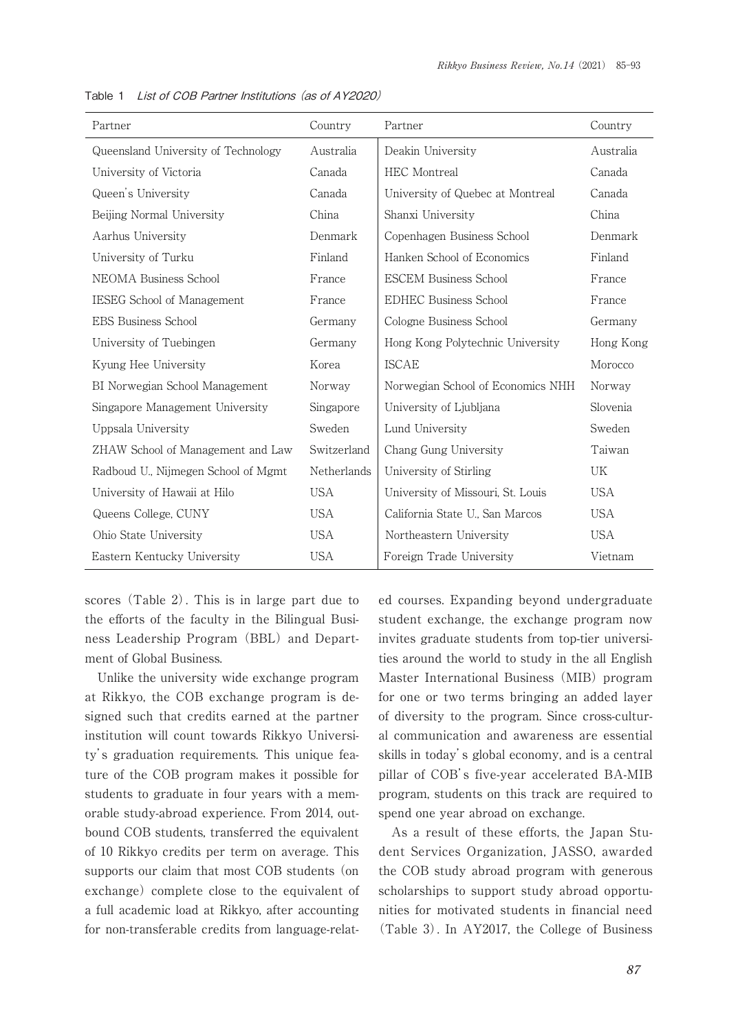| Partner                             | Country     | Partner                           | Country    |
|-------------------------------------|-------------|-----------------------------------|------------|
| Queensland University of Technology | Australia   | Deakin University                 | Australia  |
| University of Victoria              | Canada      | HEC Montreal                      | Canada     |
| Queen's University                  | Canada      | University of Quebec at Montreal  | Canada     |
| Beijing Normal University           | China       | Shanxi University                 | China      |
| Aarhus University                   | Denmark     | Copenhagen Business School        | Denmark    |
| University of Turku                 | Finland     | Hanken School of Economics        | Finland    |
| NEOMA Business School               | France      | <b>ESCEM Business School</b>      | France     |
| IESEG School of Management          | France      | <b>EDHEC Business School</b>      | France     |
| <b>EBS Business School</b>          | Germany     | Cologne Business School           | Germany    |
| University of Tuebingen             | Germany     | Hong Kong Polytechnic University  | Hong Kong  |
| Kyung Hee University                | Korea       | <b>ISCAE</b>                      | Morocco    |
| BI Norwegian School Management      | Norway      | Norwegian School of Economics NHH | Norway     |
| Singapore Management University     | Singapore   | University of Ljubljana           | Slovenia   |
| Uppsala University                  | Sweden      | Lund University                   | Sweden     |
| ZHAW School of Management and Law   | Switzerland | Chang Gung University             | Taiwan     |
| Radboud U., Nijmegen School of Mgmt | Netherlands | University of Stirling            | UK         |
| University of Hawaii at Hilo        | <b>USA</b>  | University of Missouri, St. Louis | USA        |
| Queens College, CUNY                | <b>USA</b>  | California State U., San Marcos   | <b>USA</b> |
| Ohio State University               | <b>USA</b>  | Northeastern University           | <b>USA</b> |
| Eastern Kentucky University         | <b>USA</b>  | Foreign Trade University          | Vietnam    |

Table 1 List of COB Partner Institutions (as of AY2020)

scores (Table 2). This is in large part due to the efforts of the faculty in the Bilingual Business Leadership Program (BBL) and Department of Global Business.

Unlike the university wide exchange program at Rikkyo, the COB exchange program is designed such that credits earned at the partner institution will count towards Rikkyo University's graduation requirements. This unique feature of the COB program makes it possible for students to graduate in four years with a memorable study-abroad experience. From 2014, outbound COB students, transferred the equivalent of 10 Rikkyo credits per term on average. This supports our claim that most COB students (on exchange) complete close to the equivalent of a full academic load at Rikkyo, after accounting for non-transferable credits from language-related courses. Expanding beyond undergraduate student exchange, the exchange program now invites graduate students from top-tier universities around the world to study in the all English Master International Business (MIB) program for one or two terms bringing an added layer of diversity to the program. Since cross-cultural communication and awareness are essential skills in today's global economy, and is a central pillar of COB's five-year accelerated BA-MIB program, students on this track are required to spend one year abroad on exchange.

As a result of these efforts, the Japan Student Services Organization, JASSO, awarded the COB study abroad program with generous scholarships to support study abroad opportunities for motivated students in financial need (Table 3). In AY2017, the College of Business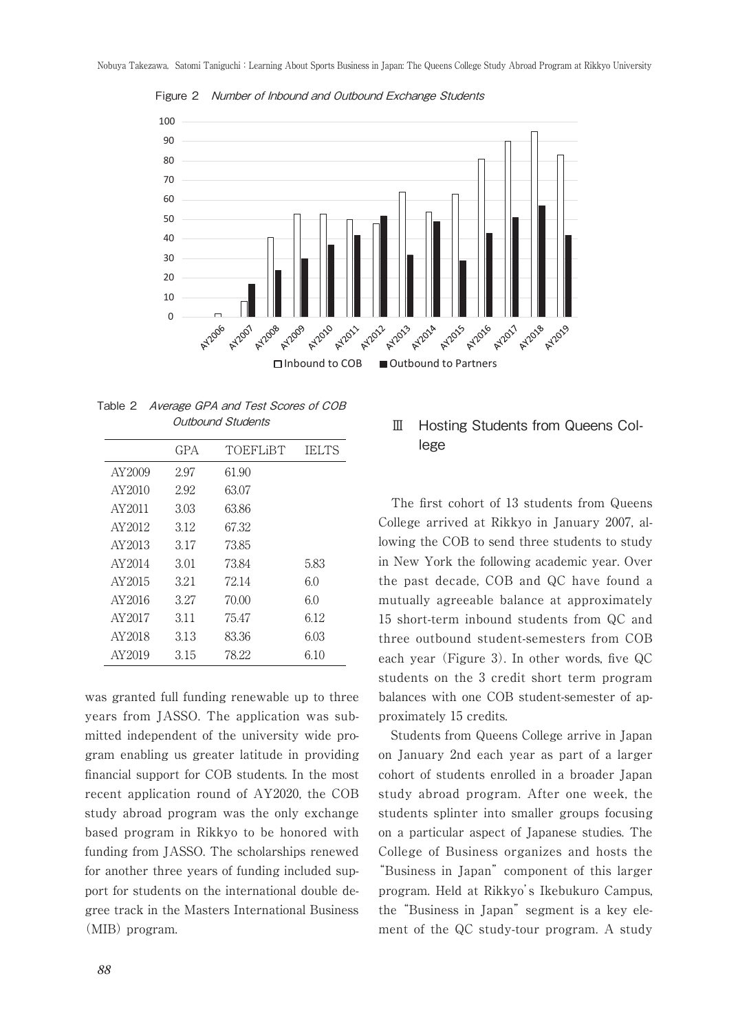

Figure 2 Number of Inbound and Outbound Exchange Students

Table 2 Average GPA and Test Scores of COB Outbound Students

|         | GPA  | TOEFLIBT | <b>IELTS</b> |
|---------|------|----------|--------------|
| AY2009  | 2.97 | 61 90    |              |
| AY2010  | 2.92 | 63.07    |              |
| AY2011  | 3.03 | 63.86    |              |
| AY2012  | 3.12 | 67.32    |              |
| AY2013  | 3 17 | 7385     |              |
| AY2014  | 3.01 | 73 84    | 5.83         |
| AY2015  | 321  | 72.14    | 60           |
| AY2016  | 3 27 | 70.00    | 60           |
| AY 2017 | 3.11 | 75.47    | 6.12         |
| AY2018  | 3.13 | 83.36    | 6.03         |
| AY2019  | 3.15 | 78.22    | 6.10         |
|         |      |          |              |

was granted full funding renewable up to three years from JASSO. The application was submitted independent of the university wide program enabling us greater latitude in providing financial support for COB students. In the most recent application round of AY2020, the COB study abroad program was the only exchange based program in Rikkyo to be honored with funding from JASSO. The scholarships renewed for another three years of funding included support for students on the international double degree track in the Masters International Business (MIB) program.

# Ⅲ Hosting Students from Queens College

The first cohort of 13 students from Queens College arrived at Rikkyo in January 2007, allowing the COB to send three students to study in New York the following academic year. Over the past decade, COB and QC have found a mutually agreeable balance at approximately 15 short-term inbound students from QC and three outbound student-semesters from COB each year (Figure 3). In other words, five QC students on the 3 credit short term program balances with one COB student-semester of approximately 15 credits.

Students from Queens College arrive in Japan on January 2nd each year as part of a larger cohort of students enrolled in a broader Japan study abroad program. After one week, the students splinter into smaller groups focusing on a particular aspect of Japanese studies. The College of Business organizes and hosts the "Business in Japan" component of this larger program. Held at Rikkyo's Ikebukuro Campus, the "Business in Japan" segment is a key element of the QC study-tour program. A study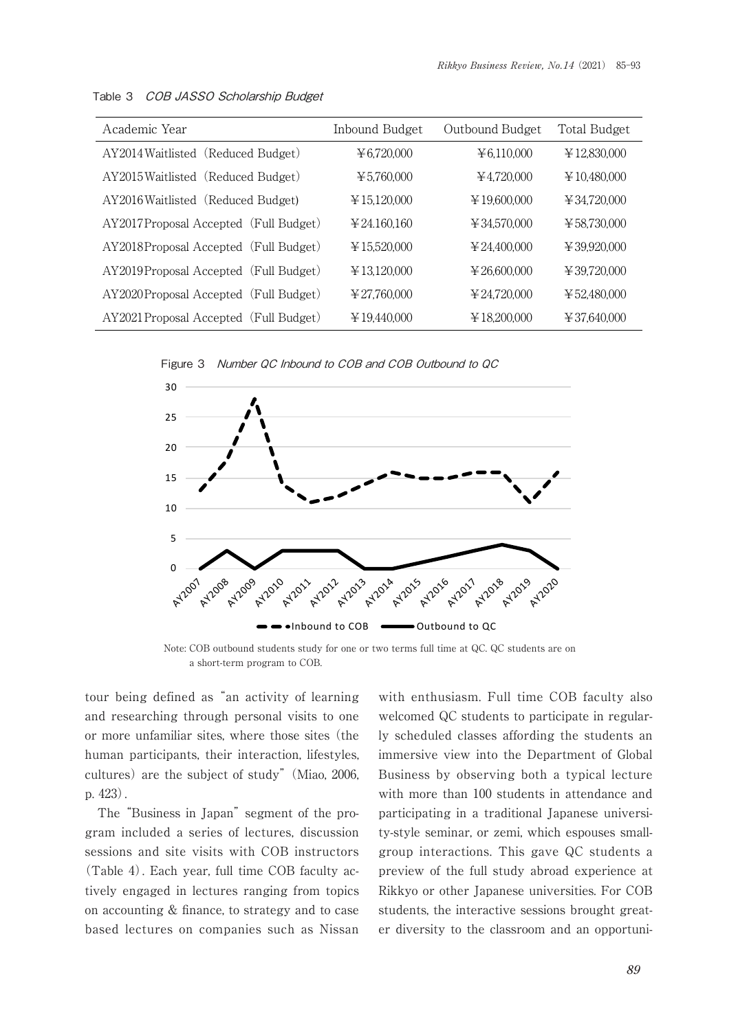| Academic Year                          | Inbound Budget               | Outbound Budget              | Total Budget                     |
|----------------------------------------|------------------------------|------------------------------|----------------------------------|
| AY2014 Waitlisted (Reduced Budget)     | ¥ 6,720,000                  | ¥ 6,110,000                  | ¥12,830,000                      |
| AY2015 Waitlisted (Reduced Budget)     | ¥ 5.760.000                  | ¥4.720.000                   | $\text{\textsterling}10,480,000$ |
| AY2016 Waitlisted (Reduced Budget)     | ¥15,120,000                  | ¥19,600,000                  | ¥ 34,720,000                     |
| AY2017Proposal Accepted (Full Budget)  | $\text{\textless}24.160.160$ | ¥ 34,570,000                 | ¥58.730.000                      |
| AY2018Proposal Accepted (Full Budget)  | ¥15.520.000                  | $\text{\textless}24.400.000$ | $\text{\textsterling}39,920,000$ |
| AY2019Proposal Accepted (Full Budget)  | ¥13.120.000                  | $\text{\textless}26.600.000$ | 439.720.000                      |
| AY2020Proposal Accepted (Full Budget)  | ¥ 27.760.000                 | ¥ 24.720.000                 | ¥52,480,000                      |
| AY2021 Proposal Accepted (Full Budget) | ¥19.440.000                  | ¥18,200,000                  | ¥37,640,000                      |

Table 3 COB JASSO Scholarship Budget





Note: COB outbound students study for one or two terms full time at QC. QC students are on a short-term program to COB.

tour being defined as "an activity of learning and researching through personal visits to one or more unfamiliar sites, where those sites (the human participants, their interaction, lifestyles, cultures) are the subject of study" (Miao, 2006, p. 423).

The "Business in Japan" segment of the program included a series of lectures, discussion sessions and site visits with COB instructors (Table 4). Each year, full time COB faculty actively engaged in lectures ranging from topics on accounting & finance, to strategy and to case based lectures on companies such as Nissan with enthusiasm. Full time COB faculty also welcomed QC students to participate in regularly scheduled classes affording the students an immersive view into the Department of Global Business by observing both a typical lecture with more than 100 students in attendance and participating in a traditional Japanese university-style seminar, or zemi, which espouses smallgroup interactions. This gave QC students a preview of the full study abroad experience at Rikkyo or other Japanese universities. For COB students, the interactive sessions brought greater diversity to the classroom and an opportuni-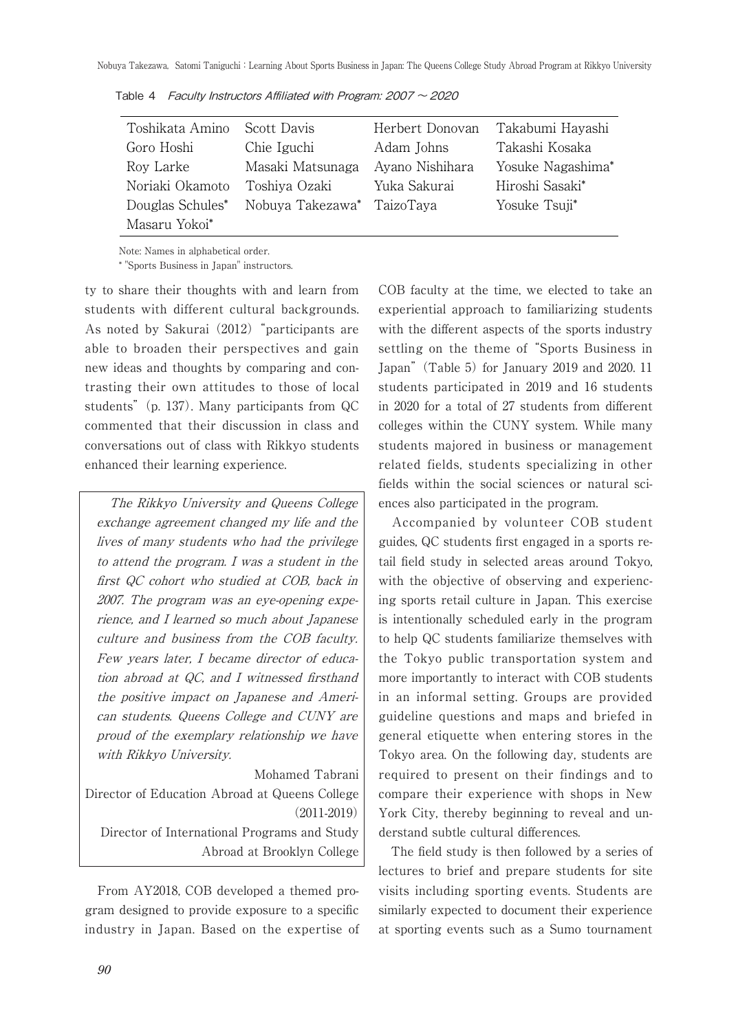| Toshikata Amino  | Scott Davis                | Herbert Donovan | Takabumi Hayashi  |
|------------------|----------------------------|-----------------|-------------------|
| Goro Hoshi       | Chie Iguchi                | Adam Johns      | Takashi Kosaka    |
| Roy Larke        | Masaki Matsunaga           | Ayano Nishihara | Yosuke Nagashima* |
| Noriaki Okamoto  | Toshiya Ozaki              | Yuka Sakurai    | Hiroshi Sasaki*   |
| Douglas Schules* | Nobuya Takezawa* TaizoTaya |                 | Yosuke Tsuji*     |
| Masaru Yokoi*    |                            |                 |                   |

Table 4 Faculty Instructors Affiliated with Program:  $2007 \sim 2020$ 

Note: Names in alphabetical order.

\* "Sports Business in Japan" instructors.

ty to share their thoughts with and learn from students with different cultural backgrounds. As noted by Sakurai (2012) "participants are able to broaden their perspectives and gain new ideas and thoughts by comparing and contrasting their own attitudes to those of local students" (p. 137). Many participants from QC commented that their discussion in class and conversations out of class with Rikkyo students enhanced their learning experience.

The Rikkyo University and Queens College exchange agreement changed my life and the lives of many students who had the privilege to attend the program. I was a student in the first QC cohort who studied at COB, back in 2007. The program was an eye-opening experience, and I learned so much about Japanese culture and business from the COB faculty. Few years later, I became director of education abroad at QC, and I witnessed firsthand the positive impact on Japanese and American students. Queens College and CUNY are proud of the exemplary relationship we have with Rikkyo University.

Mohamed Tabrani Director of Education Abroad at Queens College (2011-2019) Director of International Programs and Study Abroad at Brooklyn College

From AY2018, COB developed a themed program designed to provide exposure to a specific industry in Japan. Based on the expertise of COB faculty at the time, we elected to take an experiential approach to familiarizing students with the different aspects of the sports industry settling on the theme of "Sports Business in Japan" (Table 5) for January 2019 and 2020. 11 students participated in 2019 and 16 students in 2020 for a total of 27 students from different colleges within the CUNY system. While many students majored in business or management related fields, students specializing in other fields within the social sciences or natural sciences also participated in the program.

Accompanied by volunteer COB student guides, QC students first engaged in a sports retail field study in selected areas around Tokyo, with the objective of observing and experiencing sports retail culture in Japan. This exercise is intentionally scheduled early in the program to help QC students familiarize themselves with the Tokyo public transportation system and more importantly to interact with COB students in an informal setting. Groups are provided guideline questions and maps and briefed in general etiquette when entering stores in the Tokyo area. On the following day, students are required to present on their findings and to compare their experience with shops in New York City, thereby beginning to reveal and understand subtle cultural differences.

The field study is then followed by a series of lectures to brief and prepare students for site visits including sporting events. Students are similarly expected to document their experience at sporting events such as a Sumo tournament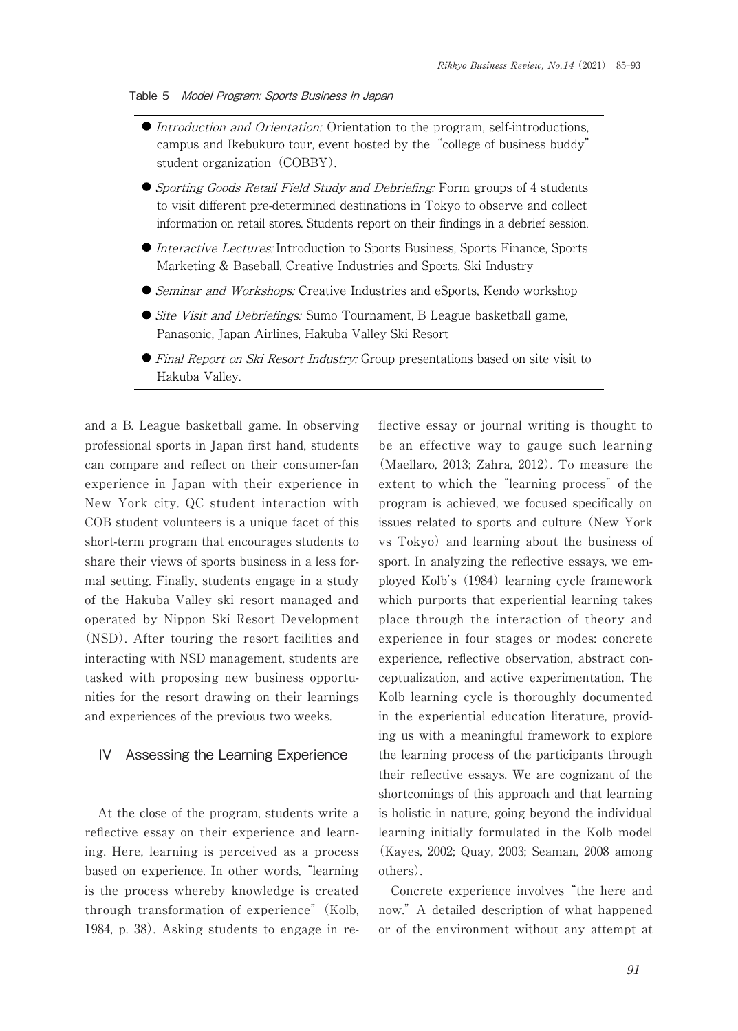#### Table 5 Model Program: Sports Business in Japan

- Introduction and Orientation: Orientation to the program, self-introductions, campus and Ikebukuro tour, event hosted by the"college of business buddy" student organization (COBBY).
- G Sporting Goods Retail Field Study and Debriefing: Form groups of 4 students to visit different pre-determined destinations in Tokyo to observe and collect information on retail stores. Students report on their findings in a debrief session.
- Interactive Lectures: Introduction to Sports Business, Sports Finance, Sports Marketing & Baseball, Creative Industries and Sports, Ski Industry
- Geminar and Workshops: Creative Industries and eSports, Kendo workshop
- Gite Visit and Debriefings: Sumo Tournament, B League basketball game, Panasonic, Japan Airlines, Hakuba Valley Ski Resort
- Final Report on Ski Resort Industry: Group presentations based on site visit to Hakuba Valley.

and a B. League basketball game. In observing professional sports in Japan first hand, students can compare and reflect on their consumer-fan experience in Japan with their experience in New York city. QC student interaction with COB student volunteers is a unique facet of this short-term program that encourages students to share their views of sports business in a less formal setting. Finally, students engage in a study of the Hakuba Valley ski resort managed and operated by Nippon Ski Resort Development (NSD). After touring the resort facilities and interacting with NSD management, students are tasked with proposing new business opportunities for the resort drawing on their learnings and experiences of the previous two weeks.

## IV Assessing the Learning Experience

At the close of the program, students write a reflective essay on their experience and learning. Here, learning is perceived as a process based on experience. In other words, "learning is the process whereby knowledge is created through transformation of experience" (Kolb, 1984, p. 38). Asking students to engage in reflective essay or journal writing is thought to be an effective way to gauge such learning (Maellaro, 2013; Zahra, 2012). To measure the extent to which the "learning process" of the program is achieved, we focused specifically on issues related to sports and culture (New York vs Tokyo) and learning about the business of sport. In analyzing the reflective essays, we employed Kolb's (1984) learning cycle framework which purports that experiential learning takes place through the interaction of theory and experience in four stages or modes: concrete experience, reflective observation, abstract conceptualization, and active experimentation. The Kolb learning cycle is thoroughly documented in the experiential education literature, providing us with a meaningful framework to explore the learning process of the participants through their reflective essays. We are cognizant of the shortcomings of this approach and that learning is holistic in nature, going beyond the individual learning initially formulated in the Kolb model (Kayes, 2002; Quay, 2003; Seaman, 2008 among others).

Concrete experience involves "the here and now." A detailed description of what happened or of the environment without any attempt at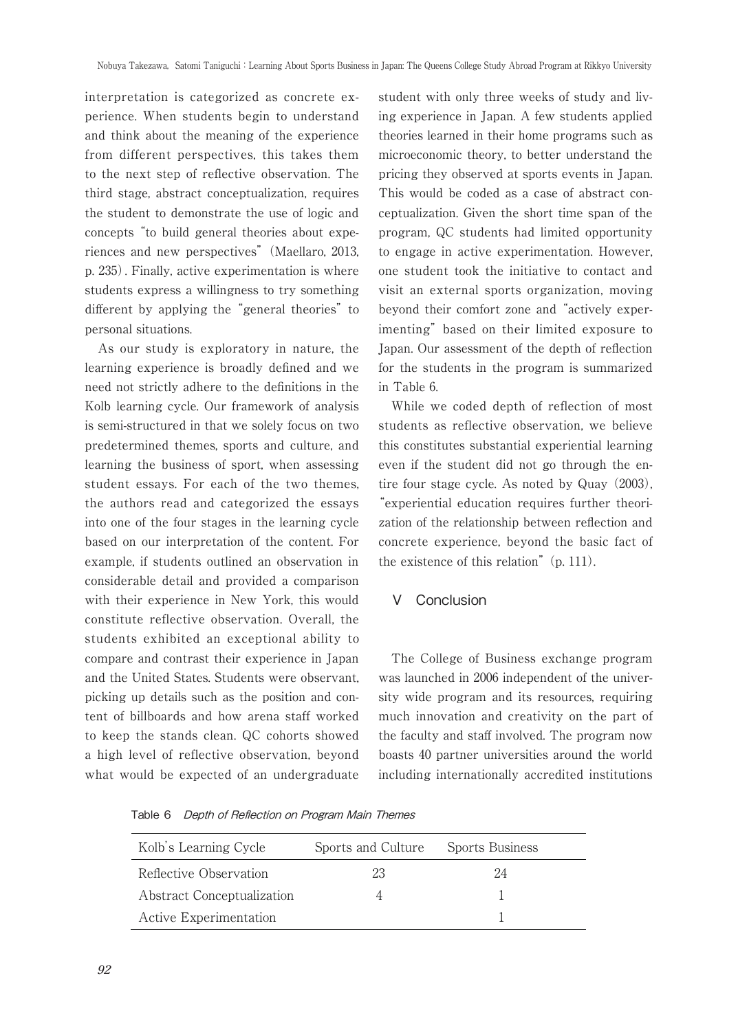interpretation is categorized as concrete experience. When students begin to understand and think about the meaning of the experience from different perspectives, this takes them to the next step of reflective observation. The third stage, abstract conceptualization, requires the student to demonstrate the use of logic and concepts "to build general theories about experiences and new perspectives" (Maellaro, 2013, p. 235). Finally, active experimentation is where students express a willingness to try something different by applying the "general theories" to personal situations.

As our study is exploratory in nature, the learning experience is broadly defined and we need not strictly adhere to the definitions in the Kolb learning cycle. Our framework of analysis is semi-structured in that we solely focus on two predetermined themes, sports and culture, and learning the business of sport, when assessing student essays. For each of the two themes, the authors read and categorized the essays into one of the four stages in the learning cycle based on our interpretation of the content. For example, if students outlined an observation in considerable detail and provided a comparison with their experience in New York, this would constitute reflective observation. Overall, the students exhibited an exceptional ability to compare and contrast their experience in Japan and the United States. Students were observant, picking up details such as the position and content of billboards and how arena staff worked to keep the stands clean. QC cohorts showed a high level of reflective observation, beyond what would be expected of an undergraduate

student with only three weeks of study and living experience in Japan. A few students applied theories learned in their home programs such as microeconomic theory, to better understand the pricing they observed at sports events in Japan. This would be coded as a case of abstract conceptualization. Given the short time span of the program, QC students had limited opportunity to engage in active experimentation. However, one student took the initiative to contact and visit an external sports organization, moving beyond their comfort zone and "actively experimenting" based on their limited exposure to Japan. Our assessment of the depth of reflection for the students in the program is summarized in Table 6.

While we coded depth of reflection of most students as reflective observation, we believe this constitutes substantial experiential learning even if the student did not go through the entire four stage cycle. As noted by Quay (2003), "experiential education requires further theorization of the relationship between reflection and concrete experience, beyond the basic fact of the existence of this relation" (p. 111).

# V Conclusion

The College of Business exchange program was launched in 2006 independent of the university wide program and its resources, requiring much innovation and creativity on the part of the faculty and staff involved. The program now boasts 40 partner universities around the world including internationally accredited institutions

Table 6 Depth of Reflection on Program Main Themes

| Kolb's Learning Cycle      | Sports and Culture | <b>Sports Business</b> |
|----------------------------|--------------------|------------------------|
| Reflective Observation     | 23                 | 24                     |
| Abstract Conceptualization |                    |                        |
| Active Experimentation     |                    |                        |